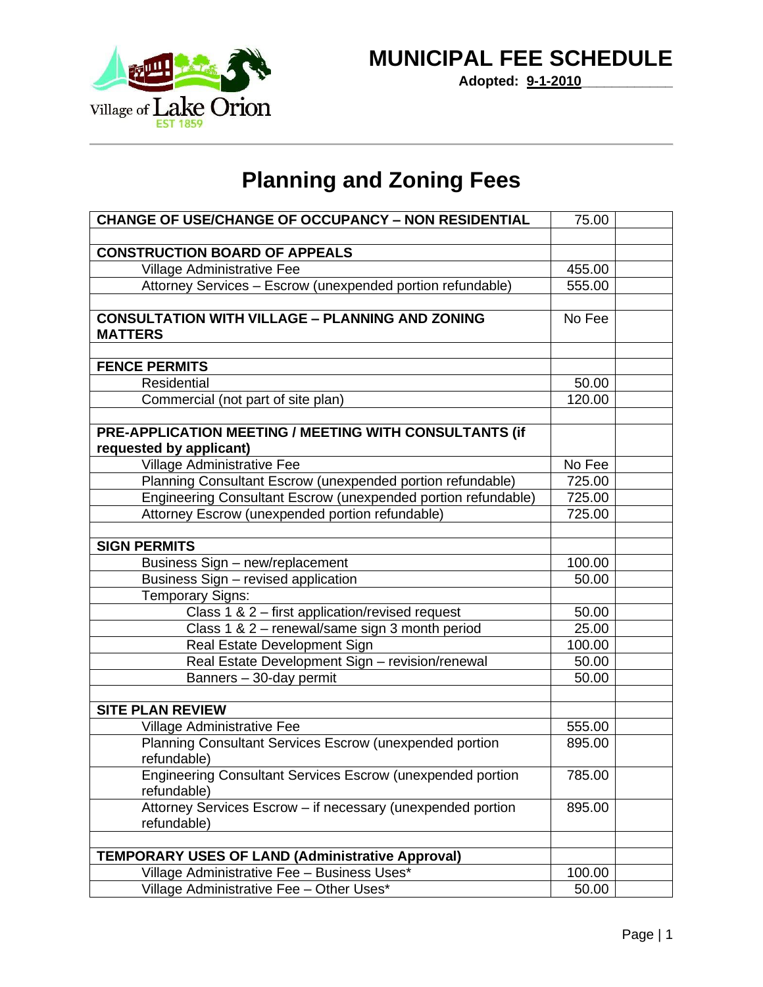## **MUNICIPAL FEE SCHEDULE**

**Adopted: 9-1-2010\_\_\_\_\_\_\_\_\_\_\_\_**

## **Planning and Zoning Fees**

| <b>CHANGE OF USE/CHANGE OF OCCUPANCY - NON RESIDENTIAL</b>                       | 75.00  |  |
|----------------------------------------------------------------------------------|--------|--|
|                                                                                  |        |  |
| <b>CONSTRUCTION BOARD OF APPEALS</b>                                             |        |  |
| Village Administrative Fee                                                       | 455.00 |  |
| Attorney Services - Escrow (unexpended portion refundable)                       | 555.00 |  |
|                                                                                  |        |  |
| <b>CONSULTATION WITH VILLAGE - PLANNING AND ZONING</b>                           | No Fee |  |
| <b>MATTERS</b>                                                                   |        |  |
| <b>FENCE PERMITS</b>                                                             |        |  |
| Residential                                                                      | 50.00  |  |
| Commercial (not part of site plan)                                               | 120.00 |  |
|                                                                                  |        |  |
| PRE-APPLICATION MEETING / MEETING WITH CONSULTANTS (if                           |        |  |
| requested by applicant)                                                          |        |  |
| Village Administrative Fee                                                       | No Fee |  |
| Planning Consultant Escrow (unexpended portion refundable)                       | 725.00 |  |
| Engineering Consultant Escrow (unexpended portion refundable)                    | 725.00 |  |
| Attorney Escrow (unexpended portion refundable)                                  | 725.00 |  |
|                                                                                  |        |  |
| <b>SIGN PERMITS</b>                                                              |        |  |
| Business Sign - new/replacement                                                  | 100.00 |  |
| Business Sign - revised application                                              | 50.00  |  |
| Temporary Signs:                                                                 |        |  |
| Class 1 & 2 - first application/revised request                                  | 50.00  |  |
| Class 1 & 2 - renewal/same sign 3 month period                                   | 25.00  |  |
| Real Estate Development Sign                                                     | 100.00 |  |
| Real Estate Development Sign - revision/renewal                                  | 50.00  |  |
| Banners - 30-day permit                                                          | 50.00  |  |
|                                                                                  |        |  |
| <b>SITE PLAN REVIEW</b>                                                          |        |  |
| <b>Village Administrative Fee</b>                                                | 555.00 |  |
| Planning Consultant Services Escrow (unexpended portion<br>refundable)           | 895.00 |  |
| <b>Engineering Consultant Services Escrow (unexpended portion</b><br>refundable) | 785.00 |  |
| Attorney Services Escrow - if necessary (unexpended portion                      | 895.00 |  |
| refundable)                                                                      |        |  |
| <b>TEMPORARY USES OF LAND (Administrative Approval)</b>                          |        |  |
| Village Administrative Fee - Business Uses*                                      | 100.00 |  |
| Village Administrative Fee - Other Uses*                                         | 50.00  |  |
|                                                                                  |        |  |